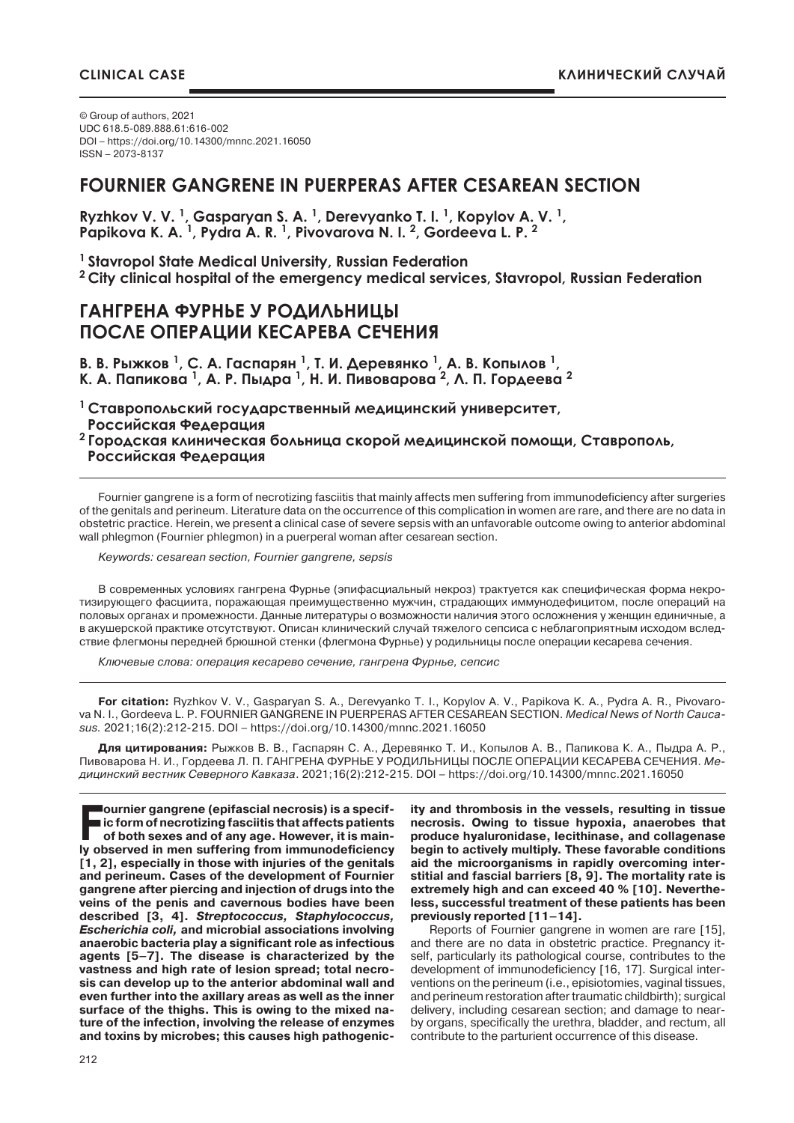© Group of authors, 2021 UDC 618.5-089.888.61:616-002 DOI – https://doi.org/10.14300/mnnc.2021.16050 ISSN – 2073-8137

# **FOURNIER GANGRENE IN PUERPERAS AFTER CESAREAN SECTION**

**Ryzhkov V. V. 1, Gasparyan S. A. 1, Derevyanko T. I. 1, Kopylov A. V. 1, Papikova K. A. 1, Pydra A. R. 1, Pivovarova N. I. 2, Gordeeva L. P. 2**

**1 Stavropol State Medical University, Russian Federation 2 City clinical hospital of the emergency medical services, Stavropol, Russian Federation**

### **ГАНГРЕНА ФУРНЬЕ У РОДИЛЬНИЦЫ ПОСЛЕ ОПЕРАЦИИ КЕСАРЕВА СЕЧЕНИЯ**

**В. В. Рыжков <sup>1</sup>, С. А. Гаспарян <sup>1</sup>, Т. И. Деревянко <sup>1</sup>, А. В. Копылов 1, К. А. Папикова <sup>1</sup>, А. Р. Пыдра <sup>1</sup>, Н. И. Пивоварова <sup>2</sup>, Л. П. Гордеева <sup>2</sup>**

**<sup>1</sup>Ставропольский государственный медицинский университет, Российская Федерация <sup>2</sup>Городская клиническая больница скорой медицинской помощи, Ставрополь,**

 **Российская Федерация**

Fournier gangrene is a form of necrotizing fasciitis that mainly affects men suffering from immunodeficiency after surgeries of the genitals and perineum. Literature data on the occurrence of this complication in women are rare, and there are no data in obstetric practice. Herein, we present a clinical case of severe sepsis with an unfavorable outcome owing to anterior abdominal wall phlegmon (Fournier phlegmon) in a puerperal woman after cesarean section.

*Keywords: cesarean section, Fournier gangrene, sepsis*

В современных условиях гангрена Фурнье (эпифасциальный некроз) трактуется как специфическая форма некротизирующего фасциита, поражающая преимущественно мужчин, страдающих иммунодефицитом, после операций на половых органах и промежности. Данные литературы о возможности наличия этого осложнения у женщин единичные, а в акушерской практике отсутствуют. Описан клинический случай тяжелого сепсиса с неблагоприятным исходом вследствие флегмоны передней брюшной стенки (флегмона Фурнье) у родильницы после операции кесарева сечения.

*Ключевые слова: операция кесарево сечение, гангрена Фурнье, сепсис*

**For citation:** Ryzhkov V. V., Gasparyan S. A., Derevyanko T. I., Kopylov A. V., Papikova K. A., Pydra A. R., Pivovarova N. I., Gordeeva L. P. FOURNIER GANGRENE IN PUERPERAS AFTER CESAREAN SECTION. *Medical News of North Caucasus.* 2021;16(2):212-215. DOI – https://doi.org/10.14300/mnnc.2021.16050

**Для цитирования:** Рыжков В. В., Гаспарян С. А., Деревянко Т. И., Копылов А. В., Папикова К. А., Пыдра А. Р., Пивоварова Н. И., Гордеева Л. П. ГАНГРЕНА ФУРНЬЕ У РОДИЛЬНИЦЫ ПОСЛЕ ОПЕРАЦИИ КЕСАРЕВА СЕЧЕНИЯ. *Медицинский вестник Северного Кавказа*. 2021;16(2):212-215. DOI – https://doi.org/10.14300/mnnc.2021.16050

**Fournier gangrene (epifascial necrosis) is a specific form of necrotizing fasciitis that affects patients of both sexes and of any age. However, it is mainly observed in men suffering from immunodeficiency [1, 2], especially in those with injuries of the genitals and perineum. Cases of the development of Fournier gangrene after piercing and injection of drugs into the veins of the penis and cavernous bodies have been described [3, 4]. Streptococcus, Staphylococcus, Escherichia coli, and microbial associations involving anaerobic bacteria play a significant role as infectious agents [5–7]. The disease is characterized by the vastness and high rate of lesion spread; total necrosis can develop up to the anterior abdominal wall and even further into the axillary areas as well as the inner surface of the thighs. This is owing to the mixed nature of the infection, involving the release of enzymes and toxins by microbes; this causes high pathogenic-** **ity and thrombosis in the vessels, resulting in tissue necrosis. Owing to tissue hypoxia, anaerobes that produce hyaluronidase, lecithinase, and collagenase begin to actively multiply. These favorable conditions aid the microorganisms in rapidly overcoming interstitial and fascial barriers [8, 9]. The mortality rate is extremely high and can exceed 40 % [10]. Nevertheless, successful treatment of these patients has been previously reported [11–14].**

Reports of Fournier gangrene in women are rare [15], and there are no data in obstetric practice. Pregnancy itself, particularly its pathological course, contributes to the development of immunodeficiency [16, 17]. Surgical interventions on the perineum (i.e., episiotomies, vaginal tissues, and perineum restoration after traumatic childbirth); surgical delivery, including cesarean section; and damage to nearby organs, specifically the urethra, bladder, and rectum, all contribute to the parturient occurrence of this disease.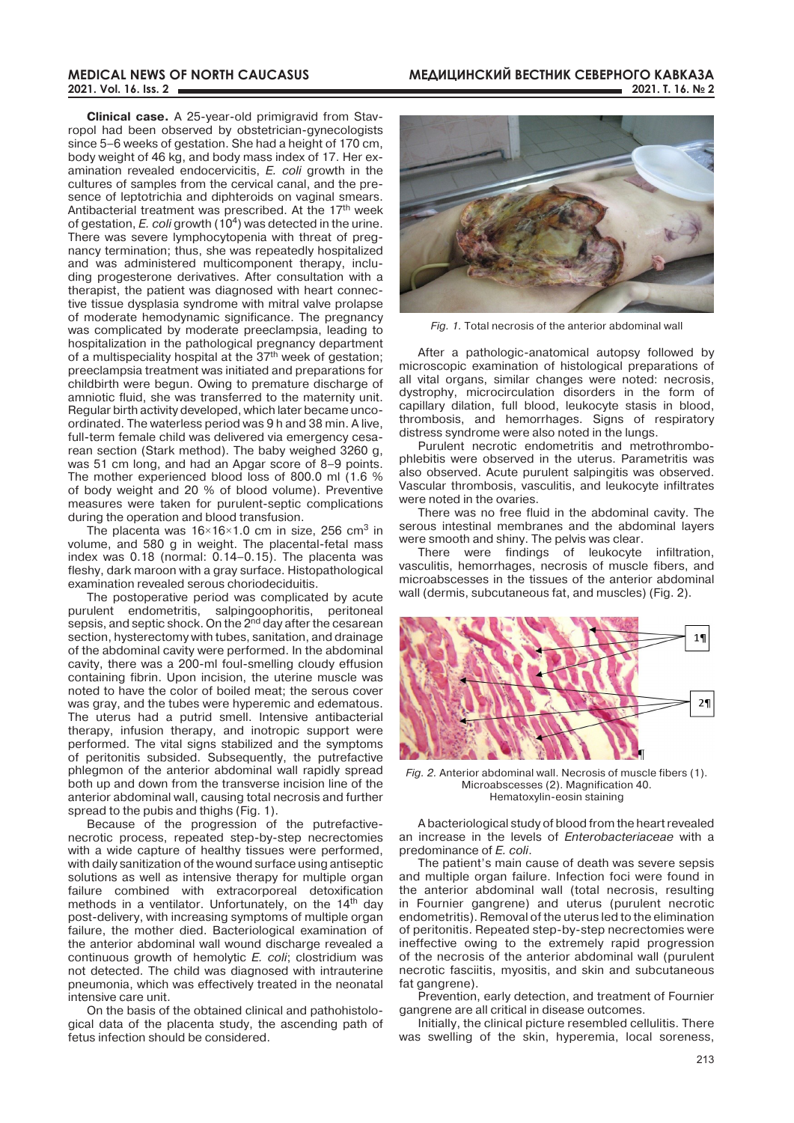#### **Medical news of north caucasus 2021. Vоl. 16. Iss. 2**

**Clinical case.** A 25-year-old primigravid from Stavropol had been observed by obstetrician-gynecologists since 5–6 weeks of gestation. She had a height of 170 cm, body weight of 46 kg, and body mass index of 17. Her examination revealed endocervicitis, *E. coli* growth in the cultures of samples from the cervical canal, and the presence of leptotrichia and diphteroids on vaginal smears. Antibacterial treatment was prescribed. At the 17<sup>th</sup> week of gestation, *E. coli* growth (104) was detected in the urine. There was severe lymphocytopenia with threat of pregnancy termination; thus, she was repeatedly hospitalized and was administered multicomponent therapy, including progesterone derivatives. After consultation with a therapist, the patient was diagnosed with heart connective tissue dysplasia syndrome with mitral valve prolapse of moderate hemodynamic significance. The pregnancy was complicated by moderate preeclampsia, leading to hospitalization in the pathological pregnancy department of a multispeciality hospital at the  $37<sup>th</sup>$  week of gestation; preeclampsia treatment was initiated and preparations for childbirth were begun. Owing to premature discharge of amniotic fluid, she was transferred to the maternity unit. Regular birth activity developed, which later became uncoordinated. The waterless period was 9 h and 38 min. A live, full-term female child was delivered via emergency cesarean section (Stark method). The baby weighed 3260 g, was 51 cm long, and had an Apgar score of 8–9 points. The mother experienced blood loss of 800.0 ml (1.6 % of body weight and 20 % of blood volume). Preventive measures were taken for purulent-septic complications during the operation and blood transfusion.

The placenta was  $16\times16\times1.0$  cm in size, 256 cm<sup>3</sup> in volume, and 580 g in weight. The placental-fetal mass index was 0.18 (normal: 0.14–0.15). The placenta was fleshy, dark maroon with a gray surface. Histopathological examination revealed serous choriodeciduitis.

The postoperative period was complicated by acute purulent endometritis, salpingoophoritis, peritoneal sepsis, and septic shock. On the 2<sup>nd</sup> day after the cesarean section, hysterectomy with tubes, sanitation, and drainage of the abdominal cavity were performed. In the abdominal cavity, there was a 200-ml foul-smelling cloudy effusion containing fibrin. Upon incision, the uterine muscle was noted to have the color of boiled meat; the serous cover was gray, and the tubes were hyperemic and edematous. The uterus had a putrid smell. Intensive antibacterial therapy, infusion therapy, and inotropic support were performed. The vital signs stabilized and the symptoms of peritonitis subsided. Subsequently, the putrefactive phlegmon of the anterior abdominal wall rapidly spread both up and down from the transverse incision line of the anterior abdominal wall, causing total necrosis and further spread to the pubis and thighs (Fig. 1).

Because of the progression of the putrefactivenecrotic process, repeated step-by-step necrectomies with a wide capture of healthy tissues were performed, with daily sanitization of the wound surface using antiseptic solutions as well as intensive therapy for multiple organ failure combined with extracorporeal detoxification methods in a ventilator. Unfortunately, on the 14<sup>th</sup> day post-delivery, with increasing symptoms of multiple organ failure, the mother died. Bacteriological examination of the anterior abdominal wall wound discharge revealed a continuous growth of hemolytic *E. coli*; clostridium was not detected. The child was diagnosed with intrauterine pneumonia, which was effectively treated in the neonatal intensive care unit.

On the basis of the obtained clinical and pathohistological data of the placenta study, the ascending path of fetus infection should be considered.



*Fig. 1.* Total necrosis of the anterior abdominal wall

After a pathologic-anatomical autopsy followed by microscopic examination of histological preparations of all vital organs, similar changes were noted: necrosis, dystrophy, microcirculation disorders in the form of capillary dilation, full blood, leukocyte stasis in blood, thrombosis, and hemorrhages. Signs of respiratory distress syndrome were also noted in the lungs.

Purulent necrotic endometritis and metrothrombophlebitis were observed in the uterus. Parametritis was also observed. Acute purulent salpingitis was observed. Vascular thrombosis, vasculitis, and leukocyte infiltrates were noted in the ovaries.

There was no free fluid in the abdominal cavity. The serous intestinal membranes and the abdominal layers were smooth and shiny. The pelvis was clear.

There were findings of leukocyte infiltration, vasculitis, hemorrhages, necrosis of muscle fibers, and microabscesses in the tissues of the anterior abdominal wall (dermis, subcutaneous fat, and muscles) (Fig. 2).



*Fig. 2.* Anterior abdominal wall. Necrosis of muscle fibers (1). Microabscesses (2). Magnification 40. Hematoxylin-eosin staining

A bacteriological study of blood from the heart revealed an increase in the levels of *Enterobacteriaceae* with a predominance of *E. coli*.

The patient's main cause of death was severe sepsis and multiple organ failure. Infection foci were found in the anterior abdominal wall (total necrosis, resulting in Fournier gangrene) and uterus (purulent necrotic endometritis). Removal of the uterus led to the elimination of peritonitis. Repeated step-by-step necrectomies were ineffective owing to the extremely rapid progression of the necrosis of the anterior abdominal wall (purulent necrotic fasciitis, myositis, and skin and subcutaneous fat gangrene).

Prevention, early detection, and treatment of Fournier gangrene are all critical in disease outcomes.

Initially, the clinical picture resembled cellulitis. There was swelling of the skin, hyperemia, local soreness,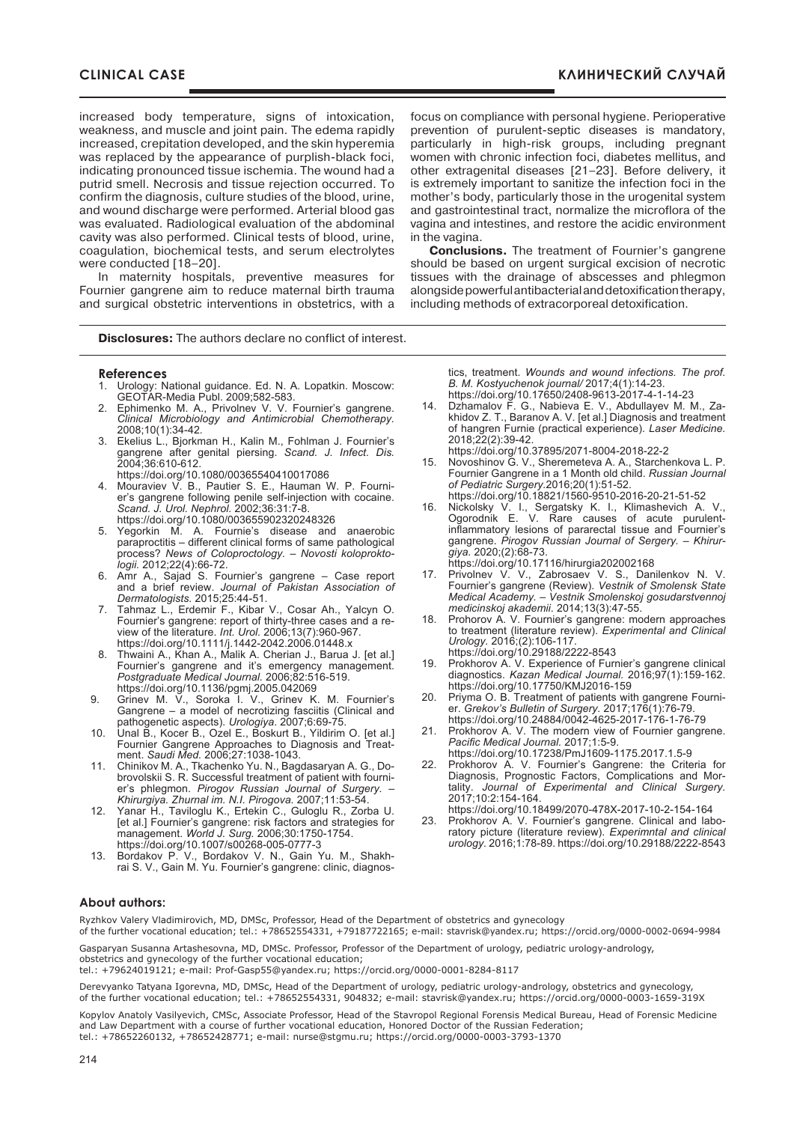increased body temperature, signs of intoxication, weakness, and muscle and joint pain. The edema rapidly increased, crepitation developed, and the skin hyperemia was replaced by the appearance of purplish-black foci, indicating pronounced tissue ischemia. The wound had a putrid smell. Necrosis and tissue rejection occurred. To confirm the diagnosis, culture studies of the blood, urine, and wound discharge were performed. Arterial blood gas was evaluated. Radiological evaluation of the abdominal cavity was also performed. Clinical tests of blood, urine, coagulation, biochemical tests, and serum electrolytes were conducted [18–20].

In maternity hospitals, preventive measures for Fournier gangrene aim to reduce maternal birth trauma and surgical obstetric interventions in obstetrics, with a

**Disclosures:** The authors declare no conflict of interest.

#### **References**

- 1. Urology: National guidance. Ed. N. A. Lopatkin. Moscow: GEOTAR-Media Publ. 2009;582-583.
- 2. Ephimenko M. A., Privolnev V. V. Fournier's gangrene. *Clinical Microbiology and Antimicrobial Chemotherapy.* 2008;10(1):34-42*.*
- 3. Ekelius L., Bjorkman H., Kalin M., Fohlman J. Fournier's gangrene after genital piersing. *Scand. J. Infect. Dis.* 2004;36:610-612.
- https://doi.org/10.1080/00365540410017086 4. Mouraviev V. B., Pautier S. E., Hauman W. P. Fournier's gangrene following penile self-injection with cocaine. *Scand. J. Urol. Nephrol.* 2002;36:31:7-8. https://doi.org/10.1080/003655902320248326
- 5. Yegorkin M. A. Fournie's disease and anaerobic paraproctitis – different clinical forms of same pathological process? *News of Coloproctology. – Novosti koloproktologii.* 2012;22(4):66-72.
- 6. Amr A., Sajad S. Fournier's gangrene Case report and a brief review. *Journal of Pakistan Association of Dermatologists.* 2015;25:44-51.
- 7. Tahmaz L., Erdemir F., Kibar V., Cosar Ah., Yalcyn O. Fournier's gangrene: report of thirty-three cases and a review of the literature. *Int. Urol.* 2006;13(7):960-967. https://doi.org/10.1111/j.1442-2042.2006.01448.x
- 8. Thwaini A., Khan A., Malik A. Cherian J., Barua J. [et al.] Fournier's gangrene and it's emergency management. *Postgraduate Medical Journal.* 2006;82:516-519. https://doi.org/10.1136/pgmj.2005.042069
- 9. Grinev M. V., Soroka I. V., Grinev K. M. Fournier's Gangrene – a model of necrotizing fasciitis (Clinical and pathogenetic aspects). *Urologiya*. 2007;6:69-75.
- 10. Unal B., Kocer B., Ozel E., Boskurt B., Yildirim O. [et al.] Fournier Gangrene Approaches to Diagnosis and Treatment. *Saudi Med.* 2006;27:1038-1043.
- 11. Сhinikov M. A., Tkachenko Yu. N., Bagdasaryan A. G., Dobrovolskii S. R. Successful treatment of patient with fournier's phlegmon. *Pirogov Russian Journal of Surgery. – Khirurgiya. Zhurnal im. N.I. Pirogova.* 2007;11:53-54.
- 12. Yanar H., Taviloglu K., Ertekin C., Guloglu R., Zorba U. [et al.] Fournier's gangrene: risk factors and strategies for management. *World J. Surg.* 2006;30:1750-1754. https://doi.org/10.1007/s00268-005-0777-3
- 13. Bordakov P. V., Bordakov V. N., Gain Yu. M., Shakhrai S. V., Gain M. Yu. Fournier's gangrene: clinic, diagnos-

focus on compliance with personal hygiene. Perioperative prevention of purulent-septic diseases is mandatory, particularly in high-risk groups, including pregnant women with chronic infection foci, diabetes mellitus, and other extragenital diseases [21–23]. Before delivery, it is extremely important to sanitize the infection foci in the mother's body, particularly those in the urogenital system and gastrointestinal tract, normalize the microflora of the vagina and intestines, and restore the acidic environment in the vagina.

**Conclusions.** The treatment of Fournier's gangrene should be based on urgent surgical excision of necrotic tissues with the drainage of abscesses and phlegmon alongside powerful antibacterial and detoxification therapy, including methods of extracorporeal detoxification.

> tics, treatment. *Wounds and wound infections. The prof. B. M. Kostyuchenok journal/* 2017;4(1):14-23. https://doi.org/10.17650/2408-9613-2017-4-1-14-23

- 14. Dzhamalov F. G., Nabieva E. V., Abdullayev M. M., Zakhidov Z. T., Baranov A. V. [et al.] Diagnosis and treatment of hangren Furnie (practical experience). *Laser Medicine.* 2018;22(2):39-42.
- https://doi.org/10.37895/2071-8004-2018-22-2
- Novoshinov G. V., Sheremeteva A. A., Starchenkova L. P. Fournier Gangrene in a 1 Month old child. *Russian journal of Pediatric Surgery.*2016;20(1):51-52. https://doi.org/10.18821/1560-9510-2016-20-21-51-52
- 16. Nickolsky V. I., Sergatsky K. I., Klimashevich A. V., Ogorodnik E. V. Rare causes of acute purulentinflammatory lesions of pararectal tissue and Fournier's gangrene. *Pirogov Russian Journal of Sergery. – Khirurgiya.* 2020;(2):68-73.

https://doi.org/10.17116/hirurgia202002168

- 17. Privolnev V. V., Zabrosaev V. S., Danilenkov N. V. Fournier's gangrene (Review). *Vestnik of smolensk state medical academy. – Vestnik Smolenskoj gosudarstvennoj medicinskoj akademii*. 2014;13(3):47-55.
- 18. Prohorov A. V. Fournier's gangrene: modern approaches to treatment (literature review). *Experimental and Clinical Urology.* 2016;(2):106-117.

https://doi.org/10.29188/2222-8543

- 19. Prokhorov A. V. Experience of Furnier's gangrene clinical diagnostics. *Kazan Medical Journal.* 2016;97(1):159-162. https://doi.org/10.17750/KMJ2016-159
- 20. Priyma O. B. Treatment of patients with gangrene Fournier. *Grekov's Bulletin of Surgery.* 2017;176(1):76-79. https://doi.org/10.24884/0042-4625-2017-176-1-76-79
- 21. Prokhorov A. V. The modern view of Fournier gangrene. *Pacific Medical Journal.* 2017;1:5-9. https://doi.org/10.17238/PmJ1609-1175.2017.1.5-9
- 22. Prokhorov A. V. Fournier's Gangrene: the Criteria for Diagnosis, Prognostic Factors, Complications and Mortality. *Journal of Experimental and Clinical Surgery.* 2017;10:2:154-164.

https://doi.org/10.18499/2070-478X-2017-10-2-154-164

23. Prokhorov A. V. Fournier's gangrene. Сlinical and laboratory picture (literature review). *Experimntal and clinical urology.* 2016;1:78-89. https://doi.org/10.29188/2222-8543

#### **About authors:**

Ryzhkov Valery Vladimirovich, MD, DMSc, Professor, Head of the Department of obstetrics and gynecology of the further vocational education; tel.: +78652554331, +79187722165; e-mail: stavrisk@yandex.ru; https://orcid.org/0000-0002-0694-9984

Gasparyan Susanna Artashesovna, MD, DMSc. Professor, Professor of the Department of urology, pediatric urology-andrology, obstetrics and gynecology of the further vocational education;

tel.: +79624019121; e-mail: Prof-Gasp55@yandex.ru; https://orcid.org/0000-0001-8284-8117

Derevyanko Tatyana Igorevna, MD, DMSc, Head of the Department of urology, pediatric urology-andrology, obstetrics and gynecology, of the further vocational education; tel.: +78652554331, 904832; e-mail: stavrisk@yandex.ru; https://orcid.org/0000-0003-1659-319Х

Kopylov Anatoly Vasilyevich, CMSc, Associate professor, Head of the Stavropol Regional Forensis Medical Bureau, Head of Forensic Medicine and Law Department with a course of further vocational education, Honored Doctor of the Russian Federation; tel.: +78652260132, +78652428771; e-mail: nurse@stgmu.ru; https://orcid.org/0000-0003-3793-1370